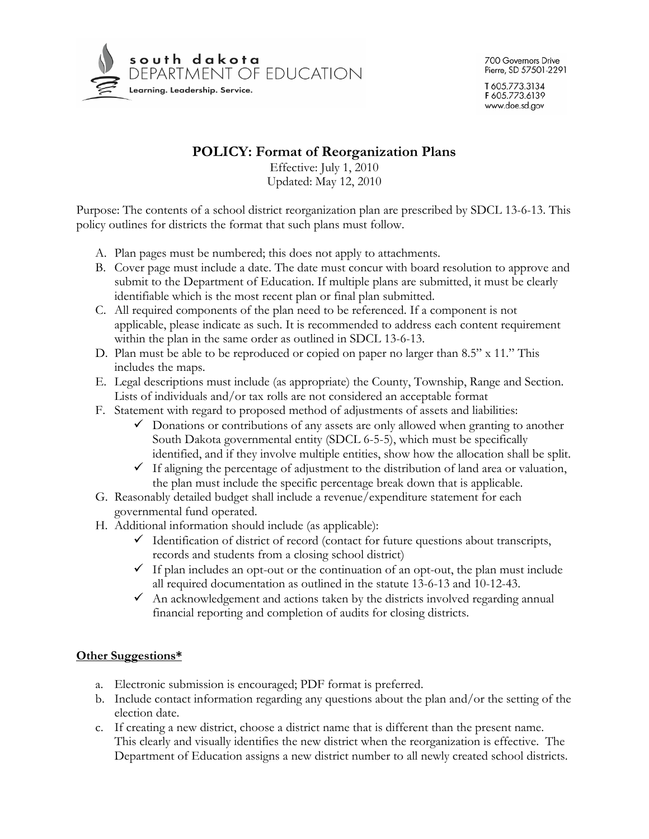

## **POLICY: Format of Reorganization Plans**

Effective: July 1, 2010 Updated: May 12, 2010

Purpose: The contents of a school district reorganization plan are prescribed by SDCL 13-6-13. This policy outlines for districts the format that such plans must follow.

- A. Plan pages must be numbered; this does not apply to attachments.
- B. Cover page must include a date. The date must concur with board resolution to approve and submit to the Department of Education. If multiple plans are submitted, it must be clearly identifiable which is the most recent plan or final plan submitted.
- C. All required components of the plan need to be referenced. If a component is not applicable, please indicate as such. It is recommended to address each content requirement within the plan in the same order as outlined in SDCL 13-6-13.
- D. Plan must be able to be reproduced or copied on paper no larger than 8.5" x 11." This includes the maps.
- E. Legal descriptions must include (as appropriate) the County, Township, Range and Section. Lists of individuals and/or tax rolls are not considered an acceptable format
- F. Statement with regard to proposed method of adjustments of assets and liabilities:
	- $\checkmark$  Donations or contributions of any assets are only allowed when granting to another South Dakota governmental entity (SDCL 6-5-5), which must be specifically identified, and if they involve multiple entities, show how the allocation shall be split.
	- $\checkmark$  If aligning the percentage of adjustment to the distribution of land area or valuation, the plan must include the specific percentage break down that is applicable.
- G. Reasonably detailed budget shall include a revenue/expenditure statement for each governmental fund operated.
- H. Additional information should include (as applicable):
	- $\checkmark$  Identification of district of record (contact for future questions about transcripts, records and students from a closing school district)
	- $\checkmark$  If plan includes an opt-out or the continuation of an opt-out, the plan must include all required documentation as outlined in the statute 13-6-13 and 10-12-43.
	- $\checkmark$  An acknowledgement and actions taken by the districts involved regarding annual financial reporting and completion of audits for closing districts.

## **Other Suggestions\***

- a. Electronic submission is encouraged; PDF format is preferred.
- b. Include contact information regarding any questions about the plan and/or the setting of the election date.
- c. If creating a new district, choose a district name that is different than the present name. This clearly and visually identifies the new district when the reorganization is effective. The Department of Education assigns a new district number to all newly created school districts.